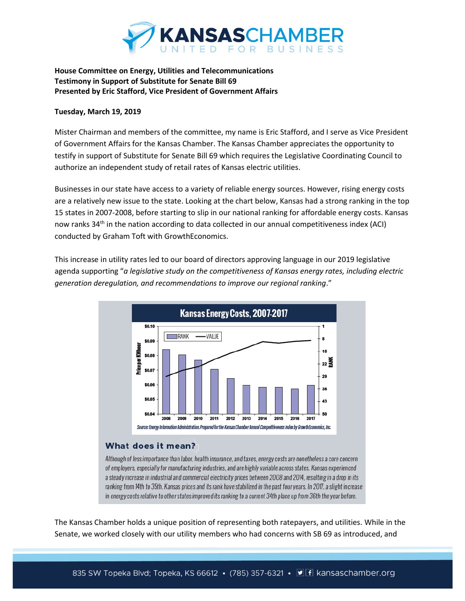

## **House Committee on Energy, Utilities and Telecommunications Testimony in Support of Substitute for Senate Bill 69 Presented by Eric Stafford, Vice President of Government Affairs**

## **Tuesday, March 19, 2019**

Mister Chairman and members of the committee, my name is Eric Stafford, and I serve as Vice President of Government Affairs for the Kansas Chamber. The Kansas Chamber appreciates the opportunity to testify in support of Substitute for Senate Bill 69 which requires the Legislative Coordinating Council to authorize an independent study of retail rates of Kansas electric utilities.

Businesses in our state have access to a variety of reliable energy sources. However, rising energy costs are a relatively new issue to the state. Looking at the chart below, Kansas had a strong ranking in the top 15 states in 2007-2008, before starting to slip in our national ranking for affordable energy costs. Kansas now ranks 34<sup>th</sup> in the nation according to data collected in our annual competitiveness index (ACI) conducted by Graham Toft with GrowthEconomics.

This increase in utility rates led to our board of directors approving language in our 2019 legislative agenda supporting "*a legislative study on the competitiveness of Kansas energy rates, including electric generation deregulation, and recommendations to improve our regional ranking*."



## What does it mean?

Although of less importance than labor, health insurance, and taxes, energy costs are nonetheless a core concern of employers, especially for manufacturing industries, and are highly variable across states. Kansas experienced a steady increase in industrial and commercial electricity prices between 2008 and 2014, resulting in a drop in its ranking from 14th to 35th. Kansas prices and its rank have stabilized in the past four years. In 2017, a slight increase in energy costs relative to other states improved its ranking to a current 34th place up from 36th the year before.

The Kansas Chamber holds a unique position of representing both ratepayers, and utilities. While in the Senate, we worked closely with our utility members who had concerns with SB 69 as introduced, and